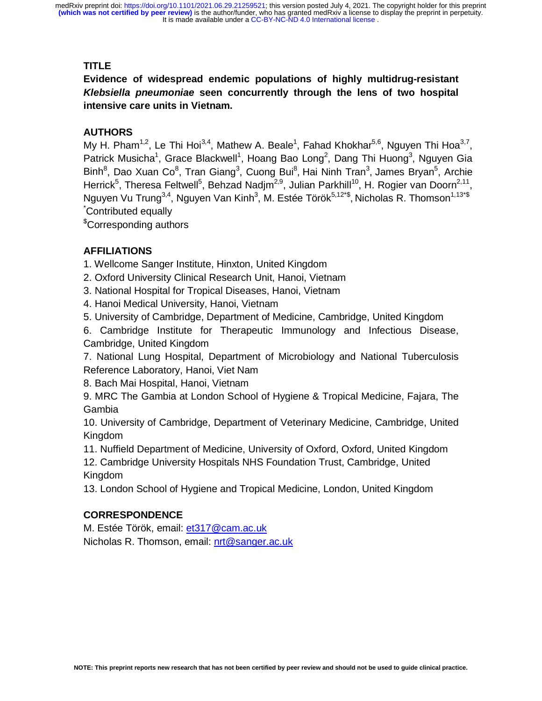# **TITLE**

**Evidence of widespread endemic populations of highly multidrug-resistant**  *Klebsiella pneumoniae* **seen concurrently through the lens of two hospital intensive care units in Vietnam.** 

# **AUTHORS**

My H. Pham<sup>1,2</sup>, Le Thi Hoi<sup>3,4</sup>, Mathew A. Beale<sup>1</sup>, Fahad Khokhar<sup>5,6</sup>, Nguyen Thi Hoa<sup>3,7</sup>, Patrick Musicha<sup>1</sup>, Grace Blackwell<sup>1</sup>, Hoang Bao Long<sup>2</sup>, Dang Thi Huong<sup>3</sup>, Nguyen Gia Binh<sup>8</sup>, Dao Xuan Co<sup>8</sup>, Tran Giang<sup>3</sup>, Cuong Bui<sup>8</sup>, Hai Ninh Tran<sup>3</sup>, James Bryan<sup>5</sup>, Archie Herrick<sup>5</sup>, Theresa Feltwell<sup>5</sup>, Behzad Nadjm<sup>2,9</sup>, Julian Parkhill<sup>10</sup>, H. Rogier van Doorn<sup>2,11</sup>, Nguyen Vu Trung<sup>3,4</sup>, Nguyen Van Kinh<sup>3</sup>, M. Estée Török<sup>5,12\*\$</sup>, Nicholas R. Thomson<sup>1,13\*\$</sup> \* Contributed equally

\$ Corresponding authors

# **AFFILIATIONS**

1. Wellcome Sanger Institute, Hinxton, United Kingdom

2. Oxford University Clinical Research Unit, Hanoi, Vietnam

3. National Hospital for Tropical Diseases, Hanoi, Vietnam

4. Hanoi Medical University, Hanoi, Vietnam

5. University of Cambridge, Department of Medicine, Cambridge, United Kingdom

6. Cambridge Institute for Therapeutic Immunology and Infectious Disease, Cambridge, United Kingdom

7. National Lung Hospital, Department of Microbiology and National Tuberculosis Reference Laboratory, Hanoi, Viet Nam

8. Bach Mai Hospital, Hanoi, Vietnam

9. MRC The Gambia at London School of Hygiene & Tropical Medicine, Fajara, The Gambia

10. University of Cambridge, Department of Veterinary Medicine, Cambridge, United Kingdom

11. Nuffield Department of Medicine, University of Oxford, Oxford, United Kingdom

12. Cambridge University Hospitals NHS Foundation Trust, Cambridge, United Kingdom

13. London School of Hygiene and Tropical Medicine, London, United Kingdom

## **CORRESPONDENCE**

M. Estée Török, email: et317@cam.ac.uk Nicholas R. Thomson, email: nrt@sanger.ac.uk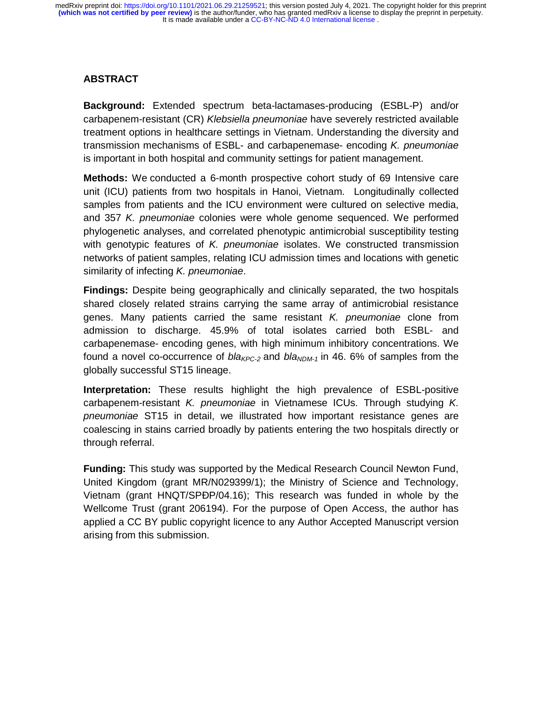## **ABSTRACT**

**Background:** Extended spectrum beta-lactamases-producing (ESBL-P) and/or carbapenem-resistant (CR) *Klebsiella pneumoniae* have severely restricted available treatment options in healthcare settings in Vietnam. Understanding the diversity and transmission mechanisms of ESBL- and carbapenemase- encoding *K. pneumoniae* is important in both hospital and community settings for patient management.

**Methods:** We conducted a 6-month prospective cohort study of 69 Intensive care unit (ICU) patients from two hospitals in Hanoi, Vietnam. Longitudinally collected samples from patients and the ICU environment were cultured on selective media, and 357 *K. pneumoniae* colonies were whole genome sequenced. We performed phylogenetic analyses, and correlated phenotypic antimicrobial susceptibility testing with genotypic features of *K. pneumoniae* isolates. We constructed transmission networks of patient samples, relating ICU admission times and locations with genetic similarity of infecting *K. pneumoniae*.

**Findings:** Despite being geographically and clinically separated, the two hospitals shared closely related strains carrying the same array of antimicrobial resistance genes. Many patients carried the same resistant *K. pneumoniae* clone from admission to discharge. 45.9% of total isolates carried both ESBL- and carbapenemase- encoding genes, with high minimum inhibitory concentrations. We found a novel co-occurrence of  $bl_{RPC-2}$  and  $bl_{RDM-1}$  in 46. 6% of samples from the globally successful ST15 lineage.

**Interpretation:** These results highlight the high prevalence of ESBL-positive carbapenem-resistant *K. pneumoniae* in Vietnamese ICUs. Through studying *K. pneumoniae* ST15 in detail, we illustrated how important resistance genes are coalescing in stains carried broadly by patients entering the two hospitals directly or through referral.

**Funding:** This study was supported by the Medical Research Council Newton Fund, United Kingdom (grant MR/N029399/1); the Ministry of Science and Technology, Vietnam (grant HNQT/SPÐP/04.16); This research was funded in whole by the Wellcome Trust (grant 206194). For the purpose of Open Access, the author has applied a CC BY public copyright licence to any Author Accepted Manuscript version arising from this submission.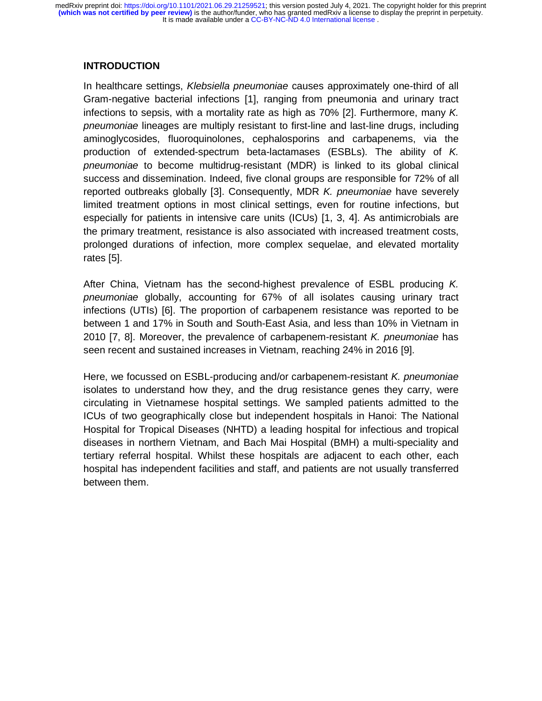## **INTRODUCTION**

In healthcare settings, *Klebsiella pneumoniae* causes approximately one-third of all Gram-negative bacterial infections [1], ranging from pneumonia and urinary tract infections to sepsis, with a mortality rate as high as 70% [2]. Furthermore, many *K. pneumoniae* lineages are multiply resistant to first-line and last-line drugs, including aminoglycosides, fluoroquinolones, cephalosporins and carbapenems, via the production of extended-spectrum beta-lactamases (ESBLs). The ability of *K. pneumoniae* to become multidrug-resistant (MDR) is linked to its global clinical success and dissemination. Indeed, five clonal groups are responsible for 72% of all reported outbreaks globally [3]. Consequently, MDR *K. pneumoniae* have severely limited treatment options in most clinical settings, even for routine infections, but especially for patients in intensive care units (ICUs) [1, 3, 4]. As antimicrobials are the primary treatment, resistance is also associated with increased treatment costs, prolonged durations of infection, more complex sequelae, and elevated mortality rates [5].

After China, Vietnam has the second-highest prevalence of ESBL producing *K. pneumoniae* globally, accounting for 67% of all isolates causing urinary tract infections (UTIs) [6]. The proportion of carbapenem resistance was reported to be between 1 and 17% in South and South-East Asia, and less than 10% in Vietnam in 2010 [7, 8]. Moreover, the prevalence of carbapenem-resistant *K. pneumoniae* has seen recent and sustained increases in Vietnam, reaching 24% in 2016 [9].

Here, we focussed on ESBL-producing and/or carbapenem-resistant *K. pneumoniae* isolates to understand how they, and the drug resistance genes they carry, were circulating in Vietnamese hospital settings. We sampled patients admitted to the ICUs of two geographically close but independent hospitals in Hanoi: The National Hospital for Tropical Diseases (NHTD) a leading hospital for infectious and tropical diseases in northern Vietnam, and Bach Mai Hospital (BMH) a multi-speciality and tertiary referral hospital. Whilst these hospitals are adjacent to each other, each hospital has independent facilities and staff, and patients are not usually transferred between them.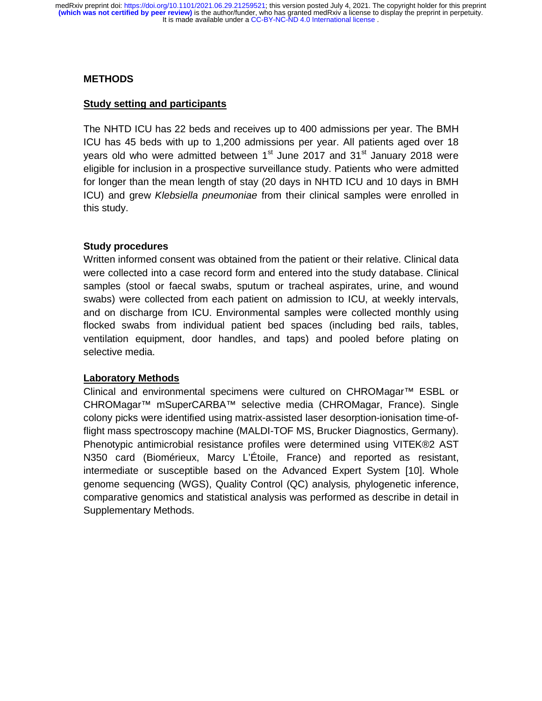#### **METHODS**

#### **Study setting and participants**

The NHTD ICU has 22 beds and receives up to 400 admissions per year. The BMH ICU has 45 beds with up to 1,200 admissions per year. All patients aged over 18 years old who were admitted between  $1<sup>st</sup>$  June 2017 and 31 $<sup>st</sup>$  January 2018 were</sup> eligible for inclusion in a prospective surveillance study. Patients who were admitted for longer than the mean length of stay (20 days in NHTD ICU and 10 days in BMH ICU) and grew *Klebsiella pneumoniae* from their clinical samples were enrolled in this study.

## **Study procedures**

Written informed consent was obtained from the patient or their relative. Clinical data were collected into a case record form and entered into the study database. Clinical samples (stool or faecal swabs, sputum or tracheal aspirates, urine, and wound swabs) were collected from each patient on admission to ICU, at weekly intervals, and on discharge from ICU. Environmental samples were collected monthly using flocked swabs from individual patient bed spaces (including bed rails, tables, ventilation equipment, door handles, and taps) and pooled before plating on selective media.

## **Laboratory Methods**

Clinical and environmental specimens were cultured on CHROMagar™ ESBL or CHROMagar™ mSuperCARBA™ selective media (CHROMagar, France). Single colony picks were identified using matrix-assisted laser desorption-ionisation time-offlight mass spectroscopy machine (MALDI-TOF MS, Brucker Diagnostics, Germany). Phenotypic antimicrobial resistance profiles were determined using VITEK®2 AST N350 card (Biomérieux, Marcy L'Étoile, France) and reported as resistant, intermediate or susceptible based on the Advanced Expert System [10]. Whole genome sequencing (WGS), Quality Control (QC) analysis*,* phylogenetic inference, comparative genomics and statistical analysis was performed as describe in detail in Supplementary Methods.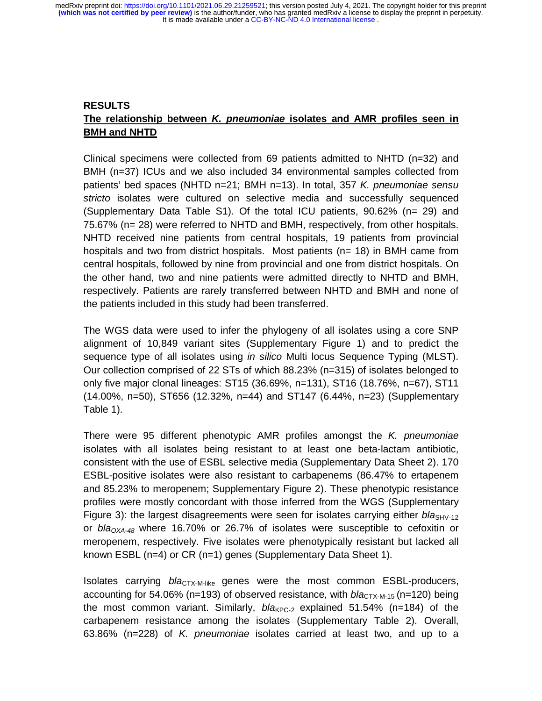# **RESULTS The relationship between** *K. pneumoniae* **isolates and AMR profiles seen in BMH and NHTD**

Clinical specimens were collected from 69 patients admitted to NHTD (n=32) and BMH (n=37) ICUs and we also included 34 environmental samples collected from patients' bed spaces (NHTD n=21; BMH n=13). In total, 357 *K. pneumoniae sensu stricto* isolates were cultured on selective media and successfully sequenced (Supplementary Data Table S1). Of the total ICU patients, 90.62% (n= 29) and 75.67% (n= 28) were referred to NHTD and BMH, respectively, from other hospitals. NHTD received nine patients from central hospitals, 19 patients from provincial hospitals and two from district hospitals. Most patients (n= 18) in BMH came from central hospitals, followed by nine from provincial and one from district hospitals. On the other hand, two and nine patients were admitted directly to NHTD and BMH, respectively. Patients are rarely transferred between NHTD and BMH and none of the patients included in this study had been transferred.

The WGS data were used to infer the phylogeny of all isolates using a core SNP alignment of 10,849 variant sites (Supplementary Figure 1) and to predict the sequence type of all isolates using *in silico* Multi locus Sequence Typing (MLST). Our collection comprised of 22 STs of which 88.23% (n=315) of isolates belonged to only five major clonal lineages: ST15 (36.69%, n=131), ST16 (18.76%, n=67), ST11 (14.00%, n=50), ST656 (12.32%, n=44) and ST147 (6.44%, n=23) (Supplementary Table 1).

There were 95 different phenotypic AMR profiles amongst the *K. pneumoniae*  isolates with all isolates being resistant to at least one beta-lactam antibiotic, consistent with the use of ESBL selective media (Supplementary Data Sheet 2). 170 ESBL-positive isolates were also resistant to carbapenems (86.47% to ertapenem and 85.23% to meropenem; Supplementary Figure 2). These phenotypic resistance profiles were mostly concordant with those inferred from the WGS (Supplementary Figure 3): the largest disagreements were seen for isolates carrying either *bla*<sub>SHV-12</sub> or  $b/a<sub>OXA-48</sub>$  where 16.70% or 26.7% of isolates were susceptible to cefoxitin or meropenem, respectively. Five isolates were phenotypically resistant but lacked all known ESBL (n=4) or CR (n=1) genes (Supplementary Data Sheet 1).

Isolates carrying *bla*<sub>CTX-M-like</sub> genes were the most common ESBL-producers, accounting for 54.06% (n=193) of observed resistance, with  $bla_{CTX-M-15}$  (n=120) being the most common variant. Similarly,  $bla_{KPC-2}$  explained 51.54% (n=184) of the carbapenem resistance among the isolates (Supplementary Table 2). Overall, 63.86% (n=228) of *K. pneumoniae* isolates carried at least two, and up to a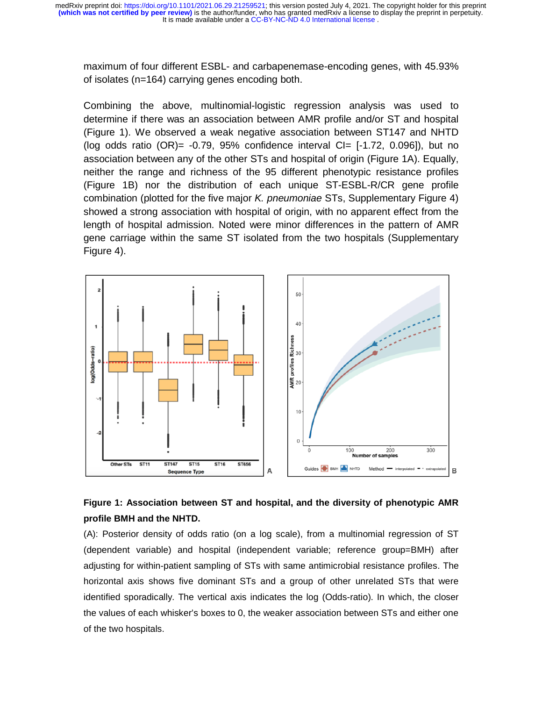maximum of four different ESBL- and carbapenemase-encoding genes, with 45.93% of isolates (n=164) carrying genes encoding both.

Combining the above, multinomial-logistic regression analysis was used to determine if there was an association between AMR profile and/or ST and hospital (Figure 1). We observed a weak negative association between ST147 and NHTD (log odds ratio  $(OR)$ = -0.79, 95% confidence interval  $CI$ = [-1.72, 0.096]), but no association between any of the other STs and hospital of origin (Figure 1A). Equally, neither the range and richness of the 95 different phenotypic resistance profiles (Figure 1B) nor the distribution of each unique ST-ESBL-R/CR gene profile combination (plotted for the five major *K. pneumoniae* STs, Supplementary Figure 4) showed a strong association with hospital of origin, with no apparent effect from the length of hospital admission. Noted were minor differences in the pattern of AMR gene carriage within the same ST isolated from the two hospitals (Supplementary Figure 4).



# **Figure 1: Association between ST and hospital, and the diversity of phenotypic AMR profile BMH and the NHTD.**

(A): Posterior density of odds ratio (on a log scale), from a multinomial regression of ST (dependent variable) and hospital (independent variable; reference group=BMH) after adjusting for within-patient sampling of STs with same antimicrobial resistance profiles. The horizontal axis shows five dominant STs and a group of other unrelated STs that were identified sporadically. The vertical axis indicates the log (Odds-ratio). In which, the closer the values of each whisker's boxes to 0, the weaker association between STs and either one of the two hospitals.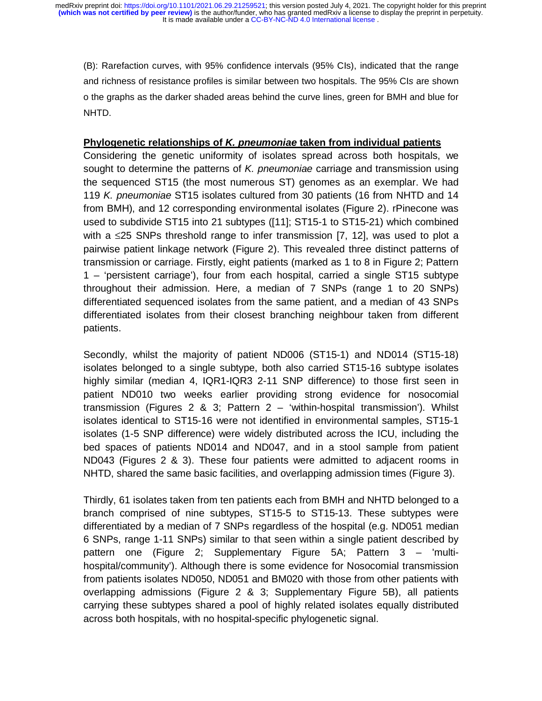(B): Rarefaction curves, with 95% confidence intervals (95% CIs), indicated that the range and richness of resistance profiles is similar between two hospitals. The 95% CI*s* are shown o the graphs as the darker shaded areas behind the curve lines, green for BMH and blue for NHTD.

#### **Phylogenetic relationships of** *K. pneumoniae* **taken from individual patients**

Considering the genetic uniformity of isolates spread across both hospitals, we sought to determine the patterns of *K. pneumoniae* carriage and transmission using the sequenced ST15 (the most numerous ST) genomes as an exemplar. We had 119 *K. pneumoniae* ST15 isolates cultured from 30 patients (16 from NHTD and 14 from BMH), and 12 corresponding environmental isolates (Figure 2). rPinecone was used to subdivide ST15 into 21 subtypes ([11]; ST15-1 to ST15-21) which combined with a  $\leq$ 25 SNPs threshold range to infer transmission [7, 12], was used to plot a pairwise patient linkage network (Figure 2). This revealed three distinct patterns of transmission or carriage. Firstly, eight patients (marked as 1 to 8 in Figure 2; Pattern 1 – 'persistent carriage'), four from each hospital, carried a single ST15 subtype throughout their admission. Here, a median of 7 SNPs (range 1 to 20 SNPs) differentiated sequenced isolates from the same patient, and a median of 43 SNPs differentiated isolates from their closest branching neighbour taken from different patients.

Secondly, whilst the majority of patient ND006 (ST15-1) and ND014 (ST15-18) isolates belonged to a single subtype, both also carried ST15-16 subtype isolates highly similar (median 4, IQR1-IQR3 2-11 SNP difference) to those first seen in patient ND010 two weeks earlier providing strong evidence for nosocomial transmission (Figures 2 & 3; Pattern 2 – 'within-hospital transmission'). Whilst isolates identical to ST15-16 were not identified in environmental samples, ST15-1 isolates (1-5 SNP difference) were widely distributed across the ICU, including the bed spaces of patients ND014 and ND047, and in a stool sample from patient ND043 (Figures 2 & 3). These four patients were admitted to adjacent rooms in NHTD, shared the same basic facilities, and overlapping admission times (Figure 3).

Thirdly, 61 isolates taken from ten patients each from BMH and NHTD belonged to a branch comprised of nine subtypes, ST15-5 to ST15-13. These subtypes were differentiated by a median of 7 SNPs regardless of the hospital (e.g. ND051 median 6 SNPs, range 1-11 SNPs) similar to that seen within a single patient described by pattern one (Figure 2; Supplementary Figure 5A; Pattern 3 – 'multihospital/community'). Although there is some evidence for Nosocomial transmission from patients isolates ND050, ND051 and BM020 with those from other patients with overlapping admissions (Figure 2 & 3; Supplementary Figure 5B), all patients carrying these subtypes shared a pool of highly related isolates equally distributed across both hospitals, with no hospital-specific phylogenetic signal.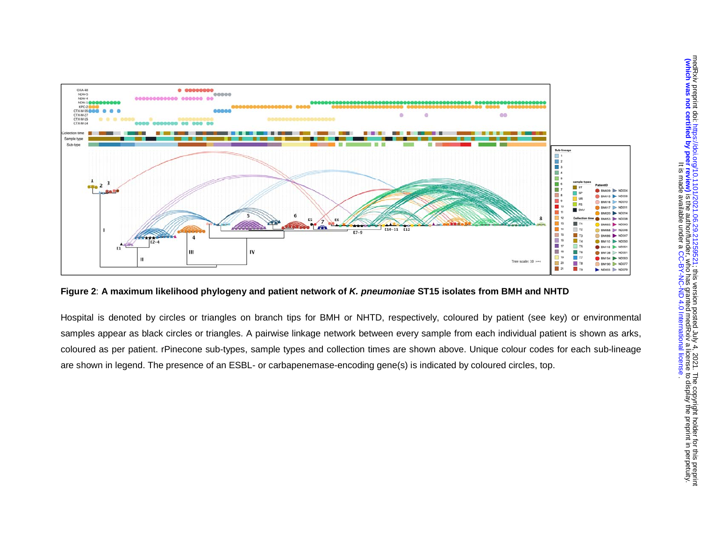

**Figure 2**: **A maximum likelihood phylogeny and patient network of** *K. pneumoniae* **ST15 isolates from BMH and NHTD** 

Hospital is denoted by circles or triangles on branch tips for BMH or NHTD, respectively, coloured by patient (see key) or environmental samples appear as black circles or triangles. A pairwise linkage network between every sample from each individual patient is shown as arks, coloured as per patient. rPinecone sub-types, sample types and collection times are shown above. Unique colour codes for each sub-lineage are shown in legend. The presence of an ESBL- or carbapenemase-encoding gene(s) is indicated by coloured circles, top.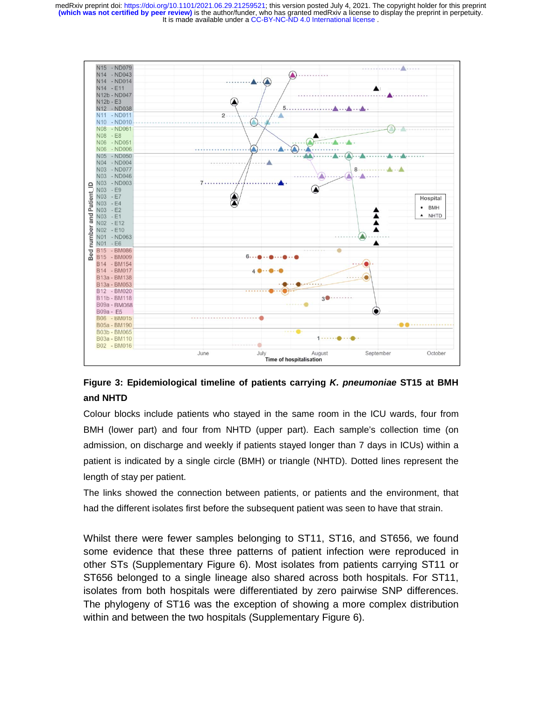

# **Figure 3: Epidemiological timeline of patients carrying** *K. pneumoniae* **ST15 at BMH and NHTD**

Colour blocks include patients who stayed in the same room in the ICU wards, four from BMH (lower part) and four from NHTD (upper part). Each sample's collection time (on admission, on discharge and weekly if patients stayed longer than 7 days in ICUs) within a patient is indicated by a single circle (BMH) or triangle (NHTD). Dotted lines represent the length of stay per patient.

The links showed the connection between patients, or patients and the environment, that had the different isolates first before the subsequent patient was seen to have that strain.

Whilst there were fewer samples belonging to ST11, ST16, and ST656, we found some evidence that these three patterns of patient infection were reproduced in other STs (Supplementary Figure 6). Most isolates from patients carrying ST11 or ST656 belonged to a single lineage also shared across both hospitals. For ST11, isolates from both hospitals were differentiated by zero pairwise SNP differences. The phylogeny of ST16 was the exception of showing a more complex distribution within and between the two hospitals (Supplementary Figure 6).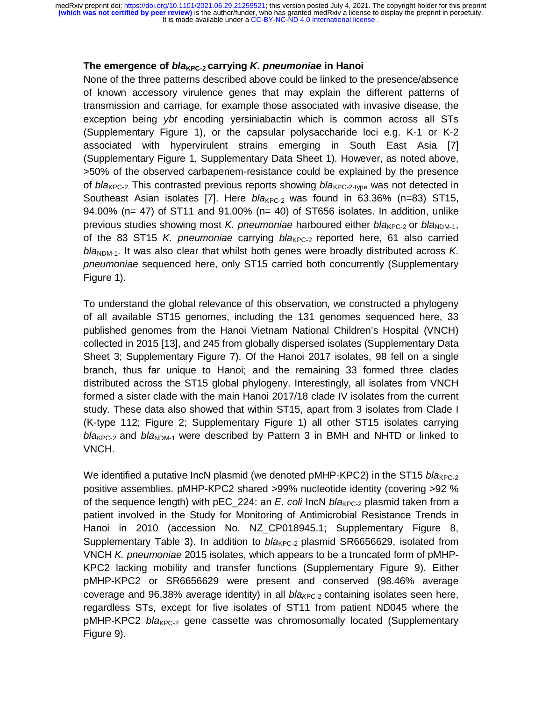# $\overline{\phantom{a}}$ **The emergence of** *bla***<sub>KPC-2</sub> carrying** *K***.** *pneumoniae* **in Hanoi**

None of the three patterns described above could be linked to the presence/absence of known accessory virulence genes that may explain the different patterns of transmission and carriage, for example those associated with invasive disease, the exception being *ybt* encoding yersiniabactin which is common across all STs (Supplementary Figure 1), or the capsular polysaccharide loci e.g. K-1 or K-2 associated with hypervirulent strains emerging in South East Asia [7] (Supplementary Figure 1, Supplementary Data Sheet 1). However, as noted above, >50% of the observed carbapenem-resistance could be explained by the presence of *bla*<sub>KPC-2</sub>. This contrasted previous reports showing *bla*<sub>KPC-2-type</sub> was not detected in Southeast Asian isolates [7]. Here *bla*<sub>KPC-2</sub> was found in 63.36% (n=83) ST15, 94.00% (n= 47) of ST11 and 91.00% (n= 40) of ST656 isolates. In addition, unlike previous studies showing most *K. pneumoniae* harboured either *bla*<sub>KPC-2</sub> or *bla*<sub>NDM-1</sub>, of the 83 ST15 *K. pneumoniae* carrying *bla<sub>KPC-2</sub>* reported here, 61 also carried bla<sub>NDM-1</sub>. It was also clear that whilst both genes were broadly distributed across *K*. *pneumoniae* sequenced here, only ST15 carried both concurrently (Supplementary Figure 1).

To understand the global relevance of this observation, we constructed a phylogeny of all available ST15 genomes, including the 131 genomes sequenced here, 33 published genomes from the Hanoi Vietnam National Children's Hospital (VNCH) collected in 2015 [13], and 245 from globally dispersed isolates (Supplementary Data Sheet 3; Supplementary Figure 7). Of the Hanoi 2017 isolates, 98 fell on a single branch, thus far unique to Hanoi; and the remaining 33 formed three clades distributed across the ST15 global phylogeny. Interestingly, all isolates from VNCH formed a sister clade with the main Hanoi 2017/18 clade IV isolates from the current study. These data also showed that within ST15, apart from 3 isolates from Clade I (K-type 112; Figure 2; Supplementary Figure 1) all other ST15 isolates carrying *bla<sub>KPC-2</sub>* and *bla*<sub>NDM-1</sub> were described by Pattern 3 in BMH and NHTD or linked to VNCH.

We identified a putative IncN plasmid (we denoted pMHP-KPC2) in the ST15 *bla*<sub>KPC-2</sub> positive assemblies. pMHP-KPC2 shared >99% nucleotide identity (covering >92 % of the sequence length) with pEC 224: an *E. coli* IncN *bla*<sub>KPC-2</sub> plasmid taken from a patient involved in the Study for Monitoring of Antimicrobial Resistance Trends in Hanoi in 2010 (accession No. NZ CP018945.1; Supplementary Figure 8, Supplementary Table 3). In addition to *bla*<sub>KPC-2</sub> plasmid SR6656629, isolated from VNCH *K. pneumoniae* 2015 isolates, which appears to be a truncated form of pMHP-KPC2 lacking mobility and transfer functions (Supplementary Figure 9). Either pMHP-KPC2 or SR6656629 were present and conserved (98.46% average coverage and 96.38% average identity) in all *bla<sub>KPC-2</sub>* containing isolates seen here, regardless STs, except for five isolates of ST11 from patient ND045 where the pMHP-KPC2 *bla*KPC-2 gene cassette was chromosomally located (Supplementary Figure 9).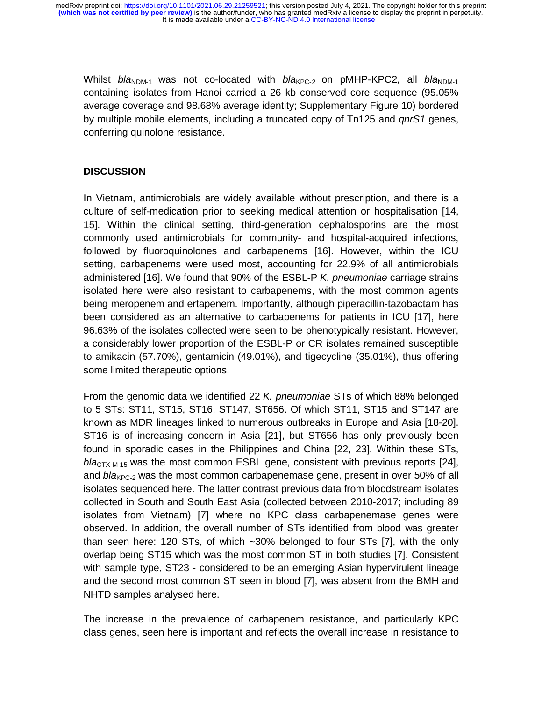Whilst *bla*<sub>NDM-1</sub> was not co-located with *bla*<sub>KPC-2</sub> on pMHP-KPC2, all *bla*<sub>NDM-1</sub> containing isolates from Hanoi carried a 26 kb conserved core sequence (95.05% average coverage and 98.68% average identity; Supplementary Figure 10) bordered by multiple mobile elements, including a truncated copy of Tn125 and *qnrS1* genes, conferring quinolone resistance.

## **DISCUSSION**

In Vietnam, antimicrobials are widely available without prescription, and there is a culture of self-medication prior to seeking medical attention or hospitalisation [14, 15]. Within the clinical setting, third-generation cephalosporins are the most commonly used antimicrobials for community- and hospital-acquired infections, followed by fluoroquinolones and carbapenems [16]. However, within the ICU setting, carbapenems were used most, accounting for 22.9% of all antimicrobials administered [16]. We found that 90% of the ESBL-P *K. pneumoniae* carriage strains isolated here were also resistant to carbapenems, with the most common agents being meropenem and ertapenem. Importantly, although piperacillin-tazobactam has been considered as an alternative to carbapenems for patients in ICU [17], here 96.63% of the isolates collected were seen to be phenotypically resistant. However, a considerably lower proportion of the ESBL-P or CR isolates remained susceptible to amikacin (57.70%), gentamicin (49.01%), and tigecycline (35.01%), thus offering some limited therapeutic options.

From the genomic data we identified 22 *K. pneumoniae* STs of which 88% belonged to 5 STs: ST11, ST15, ST16, ST147, ST656. Of which ST11, ST15 and ST147 are known as MDR lineages linked to numerous outbreaks in Europe and Asia [18-20]. ST16 is of increasing concern in Asia [21], but ST656 has only previously been found in sporadic cases in the Philippines and China [22, 23]. Within these STs, *bla*<sub>CTX-M-15</sub> was the most common ESBL gene, consistent with previous reports [24], and *bla<sub>KPC-2</sub>* was the most common carbapenemase gene, present in over 50% of all isolates sequenced here. The latter contrast previous data from bloodstream isolates collected in South and South East Asia (collected between 2010-2017; including 89 isolates from Vietnam) [7] where no KPC class carbapenemase genes were observed. In addition, the overall number of STs identified from blood was greater than seen here: 120 STs, of which ~30% belonged to four STs [7], with the only overlap being ST15 which was the most common ST in both studies [7]. Consistent with sample type, ST23 - considered to be an emerging Asian hypervirulent lineage and the second most common ST seen in blood [7], was absent from the BMH and NHTD samples analysed here.

The increase in the prevalence of carbapenem resistance, and particularly KPC class genes, seen here is important and reflects the overall increase in resistance to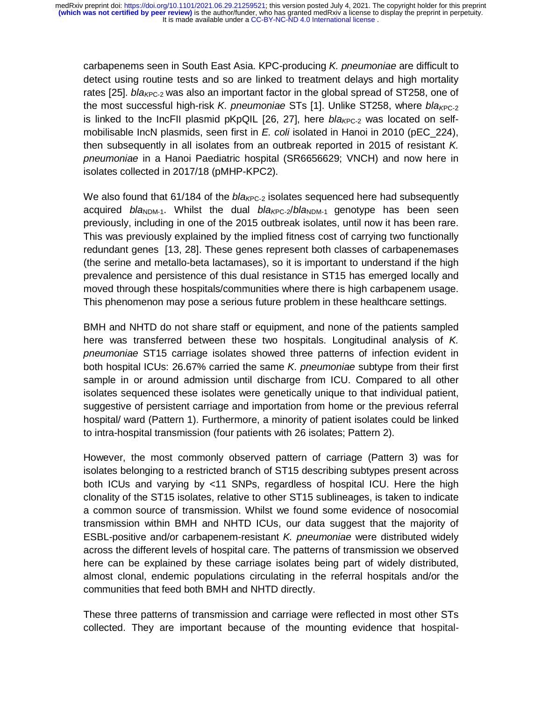$\overline{a}$ carbapenems seen in South East Asia. KPC-producing *K. pneumoniae* are difficult to detect using routine tests and so are linked to treatment delays and high mortality rates [25]. *bla<sub>KPC-2</sub>* was also an important factor in the global spread of ST258, one of the most successful high-risk *K. pneumoniae* STs [1]. Unlike ST258, where *bla<sub>KPC-2</sub>* is linked to the IncFII plasmid pKpQIL [26, 27], here *bla<sub>KPC-2</sub>* was located on selfmobilisable IncN plasmids, seen first in *E. coli* isolated in Hanoi in 2010 (pEC\_224), then subsequently in all isolates from an outbreak reported in 2015 of resistant *K. pneumoniae* in a Hanoi Paediatric hospital (SR6656629; VNCH) and now here in isolates collected in 2017/18 (pMHP-KPC2).

We also found that 61/184 of the *bla<sub>KPC-2</sub>* isolates sequenced here had subsequently acquired *bla*<sub>NDM-1</sub>. Whilst the dual *bla<sub>KPC-2</sub>/bla*<sub>NDM-1</sub> genotype has been seen previously, including in one of the 2015 outbreak isolates, until now it has been rare. This was previously explained by the implied fitness cost of carrying two functionally redundant genes [13, 28]. These genes represent both classes of carbapenemases (the serine and metallo-beta lactamases), so it is important to understand if the high prevalence and persistence of this dual resistance in ST15 has emerged locally and moved through these hospitals/communities where there is high carbapenem usage. This phenomenon may pose a serious future problem in these healthcare settings.

BMH and NHTD do not share staff or equipment, and none of the patients sampled here was transferred between these two hospitals. Longitudinal analysis of *K. pneumoniae* ST15 carriage isolates showed three patterns of infection evident in both hospital ICUs: 26.67% carried the same *K. pneumoniae* subtype from their first sample in or around admission until discharge from ICU. Compared to all other isolates sequenced these isolates were genetically unique to that individual patient, suggestive of persistent carriage and importation from home or the previous referral hospital/ ward (Pattern 1). Furthermore, a minority of patient isolates could be linked to intra-hospital transmission (four patients with 26 isolates; Pattern 2).

However, the most commonly observed pattern of carriage (Pattern 3) was for isolates belonging to a restricted branch of ST15 describing subtypes present across both ICUs and varying by <11 SNPs, regardless of hospital ICU. Here the high clonality of the ST15 isolates, relative to other ST15 sublineages, is taken to indicate a common source of transmission. Whilst we found some evidence of nosocomial transmission within BMH and NHTD ICUs, our data suggest that the majority of ESBL-positive and/or carbapenem-resistant *K. pneumoniae* were distributed widely across the different levels of hospital care. The patterns of transmission we observed here can be explained by these carriage isolates being part of widely distributed, almost clonal, endemic populations circulating in the referral hospitals and/or the communities that feed both BMH and NHTD directly.

These three patterns of transmission and carriage were reflected in most other STs collected. They are important because of the mounting evidence that hospital-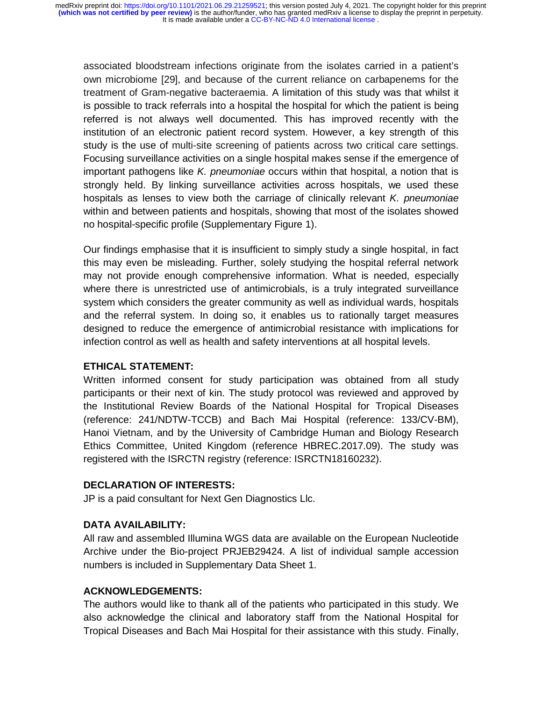$\ddot{\phantom{0}}$ associated bloodstream infections originate from the isolates carried in a patient's own microbiome [29], and because of the current reliance on carbapenems for the treatment of Gram-negative bacteraemia. A limitation of this study was that whilst it is possible to track referrals into a hospital the hospital for which the patient is being referred is not always well documented. This has improved recently with the institution of an electronic patient record system. However, a key strength of this study is the use of multi-site screening of patients across two critical care settings. Focusing surveillance activities on a single hospital makes sense if the emergence of important pathogens like *K. pneumoniae* occurs within that hospital, a notion that is strongly held. By linking surveillance activities across hospitals, we used these hospitals as lenses to view both the carriage of clinically relevant *K. pneumoniae* within and between patients and hospitals, showing that most of the isolates showed no hospital-specific profile (Supplementary Figure 1).

Our findings emphasise that it is insufficient to simply study a single hospital, in fact this may even be misleading. Further, solely studying the hospital referral network may not provide enough comprehensive information. What is needed, especially where there is unrestricted use of antimicrobials, is a truly integrated surveillance system which considers the greater community as well as individual wards, hospitals and the referral system. In doing so, it enables us to rationally target measures designed to reduce the emergence of antimicrobial resistance with implications for infection control as well as health and safety interventions at all hospital levels.

## **ETHICAL STATEMENT:**

Written informed consent for study participation was obtained from all study participants or their next of kin. The study protocol was reviewed and approved by the Institutional Review Boards of the National Hospital for Tropical Diseases (reference: 241/NDTW-TCCB) and Bach Mai Hospital (reference: 133/CV-BM), Hanoi Vietnam, and by the University of Cambridge Human and Biology Research Ethics Committee, United Kingdom (reference HBREC.2017.09). The study was registered with the ISRCTN registry (reference: ISRCTN18160232).

# **DECLARATION OF INTERESTS:**

JP is a paid consultant for Next Gen Diagnostics Llc.

# **DATA AVAILABILITY:**

All raw and assembled Illumina WGS data are available on the European Nucleotide Archive under the Bio-project PRJEB29424. A list of individual sample accession numbers is included in Supplementary Data Sheet 1.

# **ACKNOWLEDGEMENTS:**

The authors would like to thank all of the patients who participated in this study. We also acknowledge the clinical and laboratory staff from the National Hospital for Tropical Diseases and Bach Mai Hospital for their assistance with this study. Finally,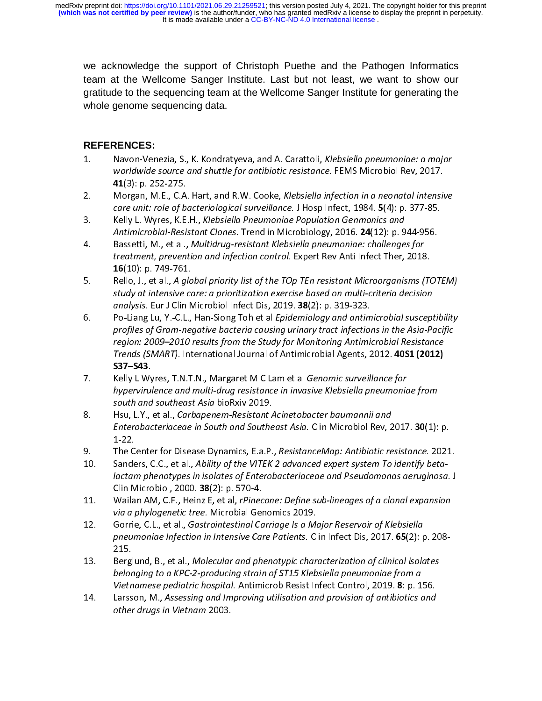$\overline{a}$ we acknowledge the support of Christoph Puethe and the Pathogen Informatics team at the Wellcome Sanger Institute. Last but not least, we want to show our gratitude to the sequencing team at the Wellcome Sanger Institute for generating the whole genome sequencing data.

# **REFERENCES:**

- $1.$
- **41**(3): p. 252-275.<br>Morgan, M.E., C.A. Hart, and R.W. Cooke, *Klebsiella infection in a neonatal intensive<br><i>care unit: role of bacteriological surveillance.* J Hosp Infect, 1984. **5**(4): p. 377-85.<br>Kelly L. Wyres, K.E.H.,
- 
- 
- 1. Worldwide source and shuttle for antibiotic resistance. FEMS Microbiol Rev, 2017.<br>
1. 1.3): p. 252-275.<br>
2. Morgan, M.E., C.A. Hart, and R.W. Cooke, *Klebsiella infection in a neonatal intensive*<br>
care unit: role of bac 41(3): p. 252-275.<br>Morgan, M.E., C.A. Hart, and R.W. Cooke, *Klebsiella infection in a neonatal intensi*<br>care unit: role of bacteriological surveillance. J Hosp Infect, 1984. 5(4): p. 377-85.<br>Kelly L. Wyres, K.E.H., *Klebs* **16**(10): p. 749-761.<br>Rello, J., et al., A global priority list of the TOp TEn resistant Microorganisms (TOTEM)<br>study at intensive care: a prioritization exercise based on multi-criteria decision<br>analysis. Eur J Clin Micro
- care unit: role of bacteriological surveillance. J Hosp Infect, 1984. 5(4): p. 377-85.<br>
2. Kelly L. Wyres, K.E.H., *Klebsiella Pneumoniae Population Genmonics and*<br>
Antimicrobial-Resistant Clones. Trend in Microbiology, 20 care unit: role of bacteriological surveilance: 3 Hosp Infect, 1984. 3(4): p. 377-85.<br>Kelly L. Wyres, K.E.H., *Klebsiella Pneumoniae Population Genmonics and*<br>Antimicrobial-Resistant Clones. Trend in Microbiology, 2016. **2** Antimicrobial-Resistant Clones. Trend in Microbiology, 2016. 24(12): p. 9<br>
4. Bassetti, M., et al., *Multidrug-resistant Klebsiella pneumoniae: challenge*<br>
treatment, prevention and infection control. Expert Rev Anti Infec Antimicrobial-Resistant Clones. Trend in Witch Oblougy, 2010. 24(12): p. 944-956.<br>Bassetti, M., et al., *Multidrug-resistant Klebsiella pneumoniae: challenges for*<br>treatment, prevention and infection control. Expert Rev An 1. Bassetti, M., et al., A global priority list of the TOp TEn resistant Microorganisms (<br>16(10): p. 749-761.<br>Bello, J., et al., A global priority list of the TOp TEn resistant Microorganisms (<br>study at intensive care: a p 16(10): p. 749-761.<br>Rello, J., et al., A global priority list of the TOp TEn resistant Microorganisms (TC<br>study at intensive care: a prioritization exercise based on multi-criteria decision<br>analysis. Eur J Clin Microbiol I 5. Study at intensive care: a prioritization exercise based on multi-criteria decision<br>
5. Religion analysis. Eur J Clin Microbiol Infect Dis, 2019. **38**(2): p. 319-323.<br>
6. Po-Liang Lu, Y.-C.L., Han-Siong Toh et al *Epide* analysis. Eur J Clin Microbiol Infect Dis, 2019. 38(2): p. 319-323.<br>Po-Liang Lu, Y.-C.L., Han-Siong Toh et al *Epidemiology and antimicrobial susceptrofiles of Gram-negative bacteria causing urinary tract infections in the* analysis. Eur 3 Clin Microbiol Imeet Dis, 2019. 38(2): p. 319-923.<br>Po-Liang Lu, Y.-C.L., Han-Siong Toh et al *Epidemiology and antim*<br>profiles of Gram-negative bacteria causing urinary tract infection<br>region: 2009–2010 res profiles of Gram-negative bacteria causing urinary tract infections in the Asia-Pacific<br>region: 2009–2010 results from the Study for Monitoring Antimicrobial Resistance<br>Trends (SMART). International Journal of Antimicrobia region: 2009–2010 results from the Study for Monitoring Antimicrobial Resistance<br>Trends (SMART). International Journal of Antimicrobial Agents, 2012. 4051 (2012)<br>S37–543.<br>Relly L Wyres, T.N.T.N., Margaret M C Lam et al Gen
- **S37–S43**.<br>Kelly L Wyres, T.N.T.N., Margaret M C Lam et al *Genomic surveillance for*<br>*hypervirulence and multi-drug resistance in invasive Klebsiella pneumoniae from*<br>south and southeast Asia bioRxiv 2019.
- Trends (SMART). International Journal of Antimicrobial Agents, 2012. **4051 (2012)**<br> **S37–543**.<br>
Kelly L Wyres, T.N.T.N., Margaret M C Lam et al *Genomic surveillance for*<br>
hypervirulence and multi-drug resistance in invasi Trends (SMART). International Journal of Antimicrobial Agents, 2012. 4051 (2012)<br>
S37–543.<br>
Kelly L Wyres, T.N.T.N., Margaret M C Lam et al *Genomic surveillance for*<br>
hypervirulence and multi-drug resistance in invasive K Markton External and Multi-drug resistance in invasive Klebsiella pneumonic<br>
2019.<br>
2019. Hsu, L.Y., et al., Carbapenem-Resistant Acinetobacter baumannii and<br>
21. Enterobacteriaceae in South and Southeast Asia. Clin Microb by the mail southeast Asia bioRxiv 2019.<br>
Hsu, L.Y., et al., *Carbapenem-Resistant Acinetobacter baumannii and*<br>
Enterobacteriaceae in South and Southeast Asia. Clin Microbiol Rev, 2017. **30**(1):<br>
1-22.<br>
The Center for Dis Fisian L.Y., et al., *Carbapenem-Resistant*<br> *Enterobacteriaceae in South and Southe*<br>
1-22.<br>
The Center for Disease Dynamics, E.a.P.<br>
Sanders, C.C., et al., *Ability of the VITEK*<br> *lactam phenotypes in isolates of Entero*
- 
- 1-22.<br>The Center for Disease Dynamics, E.a.P., ResistanceMap: Antibiotic resistance. 2021.<br>Sanders, C.C., et al., Ability of the VITEK 2 advanced expert system To identify beta-<br>lactam phenotypes in isolates of Enterobacte
- Clin Microbiol, 2000. **38**(2): p. 570-4.<br>Wailan AM, C.F., Heinz E, et al, *rPinecone: Define sub-lineages of a clonal expansion*<br>*via a phylogenetic tree.* Microbial Genomics 2019.<br>Gorrie, C.L., et al., *Gastrointestinal C*
- Enterobacteriaceae in South and Southeast Asia. Clin Microbiol Rev, 2<br>
1-22.<br>
9. The Center for Disease Dynamics, E.a.P., ResistanceMap: Antibiotic re<br>
Sanders, C.C., et al., Ability of the VITEK 2 advanced expert system T Enterobacteriaceae in South and Southeast Asia. Clin Microbiol Rev, 2017: 30(1): p.<br>1-22.<br>The Center for Disease Dynamics, E.a.P., ResistanceMap: Antibiotic resistance. 2021<br>Sanders, C.C., et al., Ability of the VITEK 2 ad 9. Sanders, C.C., et al., *Ability of the VITEK 2 advanced expert system To identify beta-*<br> *lactam phenotypes in isolates of Enterobacteriaceae and Pseudomonas aeruginosa.* J<br>
Clin Microbiol, 2000. **38**(2): p. 570-4.<br> **1** Clin Microbiol, 2000. **38**(2): p. 570-4.<br>
11. Wailan AM, C.F., Heinz E, et al, *Pinecone: Define sub-lineages of a clonal expansion*<br> *via a phylogenetic tree.* Microbial Genomics 2019.<br>
12. Gorrie, C.L., et al., *Gastroin* Clin Microbiol, 2000. **38**(2): p. 570-4.<br>Wailan AM, C.F., Heinz E, et al, *rPinecone: Define sub-lineages of a clonal expansion*<br>via a phylogenetic tree. Microbial Genomics 2019.<br>Gorrie, C.L., et al., *Gastrointestinal Car* 11. Wailan Amylogenetic tree. Microbial Genomics 2019.<br>
12. Gorrie, C.L., et al., *Gastrointestinal Carriage Is a Major Reservoir of Klebsiella*<br>
12. Gorrie, C.L., et al., *Gastrointestinal Carriage Is a Major Reservoir of* via a phylogenetic tree. The corrie, C.L., et al., *Gastrointestinal Carriage Is a Michaelmeumoniae Infection in Intensive Care Patients.* Cl<br>215.<br>Berglund, B., et al., *Molecular and phenotypic char belonging to a KPC-2-p*
- 12. Gorrigonal and the priority Care Patients. Clin Infect Dis, 2017. 65(2): p. 215.<br>
215. Berglund, B., et al., Molecular and phenotypic characterization of clinical isolate belonging to a KPC-2-producing strain of ST15 K pneumoniae infection in intensive care *r* additions. Chiralitect Dis, 2017. 65(2): p. 200<br>215.<br>Berglund, B., et al., Molecular and phenotypic characterization of clinical isolates<br>belonging to a KPC-2-producing strain of 215.<br>Berglund, B., et al., Molecular and phenotypic characterization of clinical isolates<br>belonging to a KPC-2-producing strain of ST15 Klebsiella pneumoniae from a<br>Vietnamese pediatric hospital. Antimicrob Resist Infect C 14. Belonging to a KPC-2-producing strain of ST15 Klebsiella pneumoniae from a<br>belonging to a KPC-2-producing strain of ST15 Klebsiella pneumoniae from a<br>Vietnamese pediatric hospital. Antimicrob Resist Infect Control, 201
- Vietnamese pediatric hospital. Antimicrob Resist Infect Control, 2019. **8**: p. 1.<br>Larsson, M., Assessing and Improving utilisation and provision of antibiotics cother drugs in Vietnam 2003. Vietnamese pediatric hospital. Antimicrob Resist Infect Control, 2019. **8:** p. 156.<br>Larsson, M., Assessing and Improving utilisation and provision of antibiotics and<br>other drugs in Vietnam 2003. 14. Larsson, M., Assessing and Improving utilization and provincially understand and<br>other drugs in Vietnam 2003. other drugs in Vietnam 2003.<br>The drug state in Vietnam 2003.<br>The drug state in Vietnam 2003.